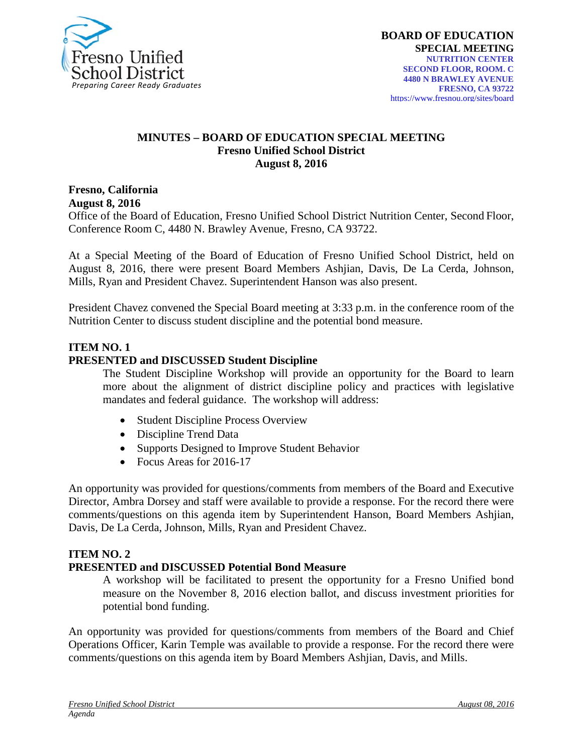

#### **MINUTES – BOARD OF EDUCATION SPECIAL MEETING Fresno Unified School District August 8, 2016**

**Fresno, California August 8, 2016**

Office of the Board of Education, Fresno Unified School District Nutrition Center, Second Floor, Conference Room C, 4480 N. Brawley Avenue, Fresno, CA 93722.

At a Special Meeting of the Board of Education of Fresno Unified School District, held on August 8, 2016, there were present Board Members Ashjian, Davis, De La Cerda, Johnson, Mills, Ryan and President Chavez. Superintendent Hanson was also present.

President Chavez convened the Special Board meeting at 3:33 p.m. in the conference room of the Nutrition Center to discuss student discipline and the potential bond measure.

# **ITEM NO. 1**

#### **PRESENTED and DISCUSSED Student Discipline**

The Student Discipline Workshop will provide an opportunity for the Board to learn more about the alignment of district discipline policy and practices with legislative mandates and federal guidance. The workshop will address:

- Student Discipline Process Overview
- Discipline Trend Data
- Supports Designed to Improve Student Behavior
- Focus Areas for 2016-17

An opportunity was provided for questions/comments from members of the Board and Executive Director, Ambra Dorsey and staff were available to provide a response. For the record there were comments/questions on this agenda item by Superintendent Hanson, Board Members Ashjian, Davis, De La Cerda, Johnson, Mills, Ryan and President Chavez.

# **ITEM NO. 2**

# **PRESENTED and DISCUSSED Potential Bond Measure**

A workshop will be facilitated to present the opportunity for a Fresno Unified bond measure on the November 8, 2016 election ballot, and discuss investment priorities for potential bond funding.

An opportunity was provided for questions/comments from members of the Board and Chief Operations Officer, Karin Temple was available to provide a response. For the record there were comments/questions on this agenda item by Board Members Ashjian, Davis, and Mills.